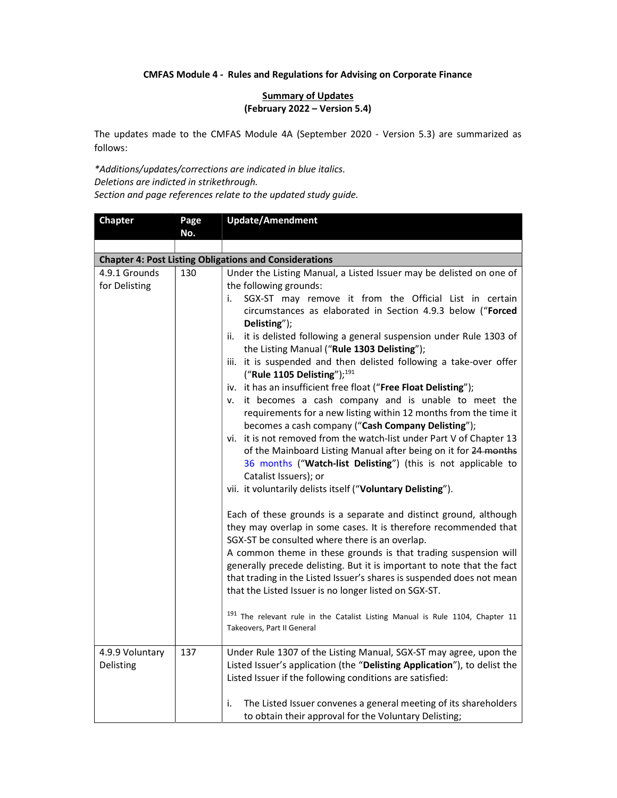## CMFAS Module 4 - Rules and Regulations for Advising on Corporate Finance

## **Summary of Updates** (February 2022 – Version 5.4)

The updates made to the CMFAS Module 4A (September 2020 - Version 5.3) are summarized as follows:

\*Additions/updates/corrections are indicated in blue italics. Deletions are indicted in strikethrough. Section and page references relate to the updated study guide.

| <b>Chapter</b>                                                | Page | <b>Update/Amendment</b>                                                                                                                                                                                                                                                                                                                                                                                                                                                                                                                                                                                                                                                                                                                                                                                                                                                                                                                                                                                                                                                                                                                                                                                                                                                                                                                                      |  |
|---------------------------------------------------------------|------|--------------------------------------------------------------------------------------------------------------------------------------------------------------------------------------------------------------------------------------------------------------------------------------------------------------------------------------------------------------------------------------------------------------------------------------------------------------------------------------------------------------------------------------------------------------------------------------------------------------------------------------------------------------------------------------------------------------------------------------------------------------------------------------------------------------------------------------------------------------------------------------------------------------------------------------------------------------------------------------------------------------------------------------------------------------------------------------------------------------------------------------------------------------------------------------------------------------------------------------------------------------------------------------------------------------------------------------------------------------|--|
|                                                               | No.  |                                                                                                                                                                                                                                                                                                                                                                                                                                                                                                                                                                                                                                                                                                                                                                                                                                                                                                                                                                                                                                                                                                                                                                                                                                                                                                                                                              |  |
| <b>Chapter 4: Post Listing Obligations and Considerations</b> |      |                                                                                                                                                                                                                                                                                                                                                                                                                                                                                                                                                                                                                                                                                                                                                                                                                                                                                                                                                                                                                                                                                                                                                                                                                                                                                                                                                              |  |
| 4.9.1 Grounds                                                 | 130  | Under the Listing Manual, a Listed Issuer may be delisted on one of                                                                                                                                                                                                                                                                                                                                                                                                                                                                                                                                                                                                                                                                                                                                                                                                                                                                                                                                                                                                                                                                                                                                                                                                                                                                                          |  |
| for Delisting                                                 |      | the following grounds:                                                                                                                                                                                                                                                                                                                                                                                                                                                                                                                                                                                                                                                                                                                                                                                                                                                                                                                                                                                                                                                                                                                                                                                                                                                                                                                                       |  |
|                                                               |      | SGX-ST may remove it from the Official List in certain<br>i.<br>circumstances as elaborated in Section 4.9.3 below ("Forced<br>Delisting");<br>it is delisted following a general suspension under Rule 1303 of<br>ii.<br>the Listing Manual ("Rule 1303 Delisting");<br>iii. it is suspended and then delisted following a take-over offer<br>("Rule 1105 Delisting"); $191$<br>iv. it has an insufficient free float ("Free Float Delisting");<br>it becomes a cash company and is unable to meet the<br>v.<br>requirements for a new listing within 12 months from the time it<br>becomes a cash company ("Cash Company Delisting");<br>vi. it is not removed from the watch-list under Part V of Chapter 13<br>of the Mainboard Listing Manual after being on it for 24 months<br>36 months ("Watch-list Delisting") (this is not applicable to<br>Catalist Issuers); or<br>vii. it voluntarily delists itself ("Voluntary Delisting").<br>Each of these grounds is a separate and distinct ground, although<br>they may overlap in some cases. It is therefore recommended that<br>SGX-ST be consulted where there is an overlap.<br>A common theme in these grounds is that trading suspension will<br>generally precede delisting. But it is important to note that the fact<br>that trading in the Listed Issuer's shares is suspended does not mean |  |
|                                                               |      | that the Listed Issuer is no longer listed on SGX-ST.<br><sup>191</sup> The relevant rule in the Catalist Listing Manual is Rule 1104, Chapter 11                                                                                                                                                                                                                                                                                                                                                                                                                                                                                                                                                                                                                                                                                                                                                                                                                                                                                                                                                                                                                                                                                                                                                                                                            |  |
|                                                               |      | Takeovers, Part II General                                                                                                                                                                                                                                                                                                                                                                                                                                                                                                                                                                                                                                                                                                                                                                                                                                                                                                                                                                                                                                                                                                                                                                                                                                                                                                                                   |  |
| 4.9.9 Voluntary<br>Delisting                                  | 137  | Under Rule 1307 of the Listing Manual, SGX-ST may agree, upon the<br>Listed Issuer's application (the "Delisting Application"), to delist the<br>Listed Issuer if the following conditions are satisfied:                                                                                                                                                                                                                                                                                                                                                                                                                                                                                                                                                                                                                                                                                                                                                                                                                                                                                                                                                                                                                                                                                                                                                    |  |
|                                                               |      | i.<br>The Listed Issuer convenes a general meeting of its shareholders<br>to obtain their approval for the Voluntary Delisting;                                                                                                                                                                                                                                                                                                                                                                                                                                                                                                                                                                                                                                                                                                                                                                                                                                                                                                                                                                                                                                                                                                                                                                                                                              |  |